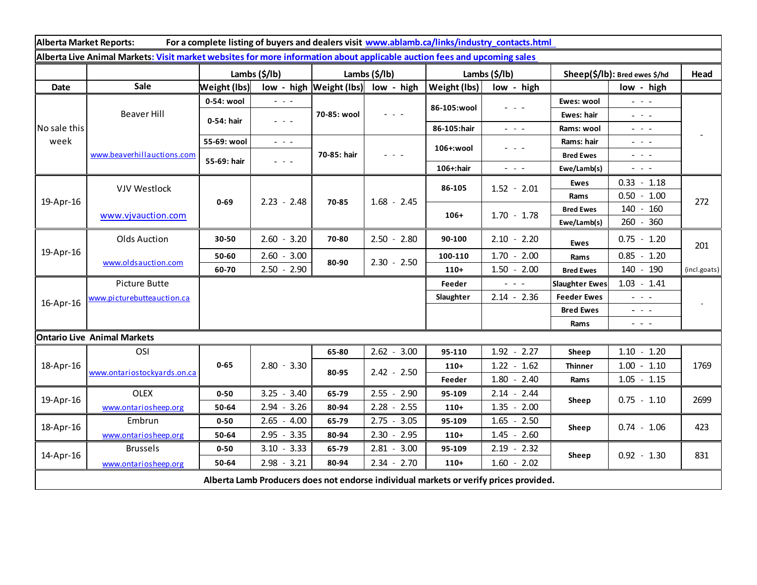| Alberta Market Reports:<br>For a complete listing of buyers and dealers visit www.ablamb.ca/links/industry_contacts.html |                             |                           |                                                                                                |                             |                                                                                                                           |                       |                                                                                                                           |                               |                                                                                                                                                               |              |
|--------------------------------------------------------------------------------------------------------------------------|-----------------------------|---------------------------|------------------------------------------------------------------------------------------------|-----------------------------|---------------------------------------------------------------------------------------------------------------------------|-----------------------|---------------------------------------------------------------------------------------------------------------------------|-------------------------------|---------------------------------------------------------------------------------------------------------------------------------------------------------------|--------------|
| Alberta Live Animal Markets: Visit market websites for more information about applicable auction fees and upcoming sales |                             |                           |                                                                                                |                             |                                                                                                                           |                       |                                                                                                                           |                               |                                                                                                                                                               |              |
|                                                                                                                          |                             | Lambs $(\frac{2}{3})$ lb) |                                                                                                | Lambs (\$/lb)               |                                                                                                                           | Lambs $(\frac{2}{3})$ |                                                                                                                           | Sheep(\$/lb): Bred ewes \$/hd |                                                                                                                                                               | Head         |
| Date                                                                                                                     | Sale                        | <b>Weight (lbs)</b>       |                                                                                                | $low - high$   Weight (lbs) | low - high                                                                                                                | Weight (lbs)          | low - high                                                                                                                |                               | low - high                                                                                                                                                    |              |
| No sale this<br>week                                                                                                     | <b>Beaver Hill</b>          | 0-54: wool                | $\frac{1}{2} \left( \frac{1}{2} \right) \left( \frac{1}{2} \right) \left( \frac{1}{2} \right)$ | 70-85: wool                 | $\frac{1}{2} \left( \frac{1}{2} \right) \left( \frac{1}{2} \right) \left( \frac{1}{2} \right) \left( \frac{1}{2} \right)$ | 86-105:wool           | - - -                                                                                                                     | Ewes: wool                    | $\omega_{\rm c}$ , $\omega_{\rm c}$ , $\omega_{\rm c}$                                                                                                        |              |
|                                                                                                                          |                             | 0-54: hair                | $\omega_{\rm{c}}$ , $\omega_{\rm{c}}$ , $\omega_{\rm{c}}$                                      |                             |                                                                                                                           |                       |                                                                                                                           | Ewes: hair                    | $\frac{1}{2} \left( \frac{1}{2} \right) \frac{1}{2} \left( \frac{1}{2} \right) \frac{1}{2} \left( \frac{1}{2} \right) \frac{1}{2} \left( \frac{1}{2} \right)$ |              |
|                                                                                                                          |                             |                           |                                                                                                |                             |                                                                                                                           | 86-105:hair           | $\omega_{\rm{eff}}=0.1$                                                                                                   | Rams: wool                    | $\omega_{\rm{eff}}$ and $\omega_{\rm{eff}}$                                                                                                                   |              |
|                                                                                                                          | www.beaverhillauctions.com  | 55-69: wool               | $\omega_{\rm{eff}}$ and $\omega_{\rm{eff}}$                                                    | 70-85: hair                 | $  -$                                                                                                                     | 106+:wool             | $  -$                                                                                                                     | Rams: hair                    | $\omega_{\rm{eff}}$ and $\omega_{\rm{eff}}$                                                                                                                   |              |
|                                                                                                                          |                             | 55-69: hair               | $\omega_{\rm{c}}$ , $\omega_{\rm{c}}$ , $\omega_{\rm{c}}$                                      |                             |                                                                                                                           |                       |                                                                                                                           | <b>Bred Ewes</b>              | $\frac{1}{2} \left( \frac{1}{2} \right) \left( \frac{1}{2} \right) \left( \frac{1}{2} \right) \left( \frac{1}{2} \right)$                                     |              |
|                                                                                                                          |                             |                           |                                                                                                |                             |                                                                                                                           | 106+:hair             | $\frac{1}{2} \left( \frac{1}{2} \right) \left( \frac{1}{2} \right) \left( \frac{1}{2} \right) \left( \frac{1}{2} \right)$ | Ewe/Lamb(s)                   | $\frac{1}{2} \left( \frac{1}{2} \right) \left( \frac{1}{2} \right) \left( \frac{1}{2} \right) \left( \frac{1}{2} \right)$                                     |              |
| 19-Apr-16                                                                                                                | <b>VJV Westlock</b>         | $0 - 69$                  | $2.23 - 2.48$                                                                                  | 70-85                       | $1.68 - 2.45$                                                                                                             | 86-105                | $1.52 - 2.01$                                                                                                             | <b>Ewes</b>                   | $0.33 - 1.18$                                                                                                                                                 | 272          |
|                                                                                                                          |                             |                           |                                                                                                |                             |                                                                                                                           |                       |                                                                                                                           | Rams                          | $0.50 - 1.00$                                                                                                                                                 |              |
|                                                                                                                          | www.vjvauction.com          |                           |                                                                                                |                             |                                                                                                                           | $106+$                | $1.70 - 1.78$                                                                                                             | <b>Bred Ewes</b>              | 140<br>160<br>$\sim$                                                                                                                                          |              |
|                                                                                                                          |                             |                           |                                                                                                |                             |                                                                                                                           |                       |                                                                                                                           | Ewe/Lamb(s)                   | 260 - 360                                                                                                                                                     |              |
| 19-Apr-16                                                                                                                | <b>Olds Auction</b>         | 30-50                     | $2.60 - 3.20$                                                                                  | 70-80                       | $2.50 - 2.80$                                                                                                             | 90-100                | $2.10 - 2.20$                                                                                                             | <b>Ewes</b>                   | $0.75 - 1.20$                                                                                                                                                 | 201          |
|                                                                                                                          | www.oldsauction.com         | 50-60                     | $2.60 - 3.00$                                                                                  | 80-90                       | $2.30 - 2.50$                                                                                                             | 100-110               | $1.70 - 2.00$                                                                                                             | Rams                          | $0.85 - 1.20$                                                                                                                                                 |              |
|                                                                                                                          |                             | 60-70                     | $2.50 - 2.90$                                                                                  |                             |                                                                                                                           | $110+$                | $1.50 - 2.00$                                                                                                             | <b>Bred Ewes</b>              | 140 - 190                                                                                                                                                     | (incl.goats) |
| 16-Apr-16                                                                                                                | Picture Butte               |                           |                                                                                                |                             |                                                                                                                           | Feeder                |                                                                                                                           | <b>Slaughter Ewes</b>         | $1.03 - 1.41$                                                                                                                                                 |              |
|                                                                                                                          | www.picturebutteauction.ca  |                           |                                                                                                |                             |                                                                                                                           | Slaughter             | $2.14 - 2.36$                                                                                                             | <b>Feeder Ewes</b>            | $\omega_{\rm{max}}$ and $\omega_{\rm{max}}$                                                                                                                   |              |
|                                                                                                                          |                             |                           |                                                                                                |                             |                                                                                                                           |                       |                                                                                                                           | <b>Bred Ewes</b>              | $\sim$ 10 $\sim$ 10 $\sim$                                                                                                                                    |              |
|                                                                                                                          |                             |                           |                                                                                                |                             |                                                                                                                           |                       |                                                                                                                           | Rams                          | $\frac{1}{2} \left( \frac{1}{2} \right) \left( \frac{1}{2} \right) \left( \frac{1}{2} \right)$                                                                |              |
| <b>Ontario Live Animal Markets</b>                                                                                       |                             |                           |                                                                                                |                             |                                                                                                                           |                       |                                                                                                                           |                               |                                                                                                                                                               |              |
| 18-Apr-16                                                                                                                | OSI                         | $0 - 65$                  | $2.80 - 3.30$                                                                                  | 65-80                       | $2.62 - 3.00$                                                                                                             | 95-110                | $1.92 - 2.27$                                                                                                             | Sheep                         | $1.10 - 1.20$                                                                                                                                                 | 1769         |
|                                                                                                                          | www.ontariostockyards.on.ca |                           |                                                                                                | 80-95                       | $2.42 - 2.50$                                                                                                             | $110+$                | $1.22 - 1.62$                                                                                                             | <b>Thinner</b>                | $1.00 - 1.10$                                                                                                                                                 |              |
|                                                                                                                          |                             |                           |                                                                                                |                             |                                                                                                                           | Feeder                | $1.80 - 2.40$                                                                                                             | Rams                          | $1.05 - 1.15$                                                                                                                                                 |              |
| 19-Apr-16                                                                                                                | <b>OLEX</b>                 | $0 - 50$                  | $3.25 - 3.40$                                                                                  | 65-79                       | $2.55 - 2.90$                                                                                                             | 95-109                | $2.14 - 2.44$                                                                                                             | Sheep                         | 0.75<br>$-1.10$                                                                                                                                               | 2699         |
|                                                                                                                          | www.ontariosheep.org        | 50-64                     | $2.94 - 3.26$                                                                                  | 80-94                       | $2.28 - 2.55$                                                                                                             | $110+$                | $1.35 - 2.00$                                                                                                             |                               |                                                                                                                                                               |              |
| 18-Apr-16                                                                                                                | Embrun                      | $0 - 50$                  | $2.65 - 4.00$                                                                                  | 65-79                       | 3.05<br>$2.75 -$                                                                                                          | 95-109                | $1.65 - 2.50$                                                                                                             | Sheep                         | $0.74 - 1.06$                                                                                                                                                 | 423          |
|                                                                                                                          | www.ontariosheep.org        | 50-64                     | $2.95 - 3.35$                                                                                  | 80-94                       | 2.30<br>2.95<br>$\sim$                                                                                                    | $110+$                | $1.45 - 2.60$                                                                                                             |                               |                                                                                                                                                               |              |
| 14-Apr-16                                                                                                                | <b>Brussels</b>             | $0 - 50$                  | $3.10 - 3.33$                                                                                  | 65-79                       | $2.81 - 3.00$                                                                                                             | 95-109                | $2.19 - 2.32$                                                                                                             | Sheep                         | $0.92 - 1.30$                                                                                                                                                 | 831          |
|                                                                                                                          | www.ontariosheep.org        | 50-64                     | $2.98 - 3.21$                                                                                  | 80-94                       | $2.34 - 2.70$                                                                                                             | $110+$                | $1.60 - 2.02$                                                                                                             |                               |                                                                                                                                                               |              |
| Alberta Lamb Producers does not endorse individual markets or verify prices provided.                                    |                             |                           |                                                                                                |                             |                                                                                                                           |                       |                                                                                                                           |                               |                                                                                                                                                               |              |